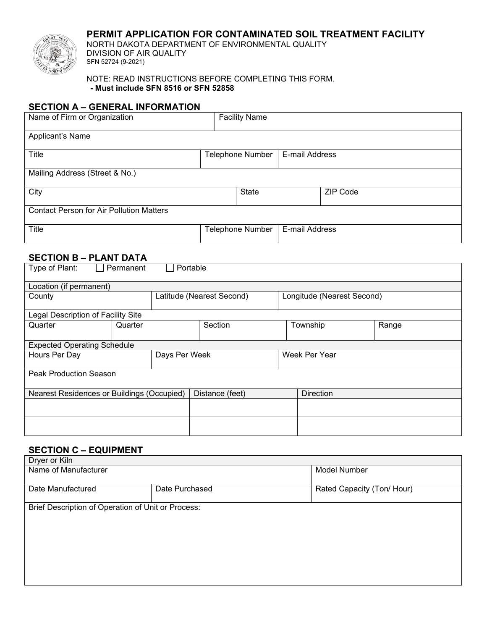## **PERMIT APPLICATION FOR CONTAMINATED SOIL TREATMENT FACILITY**



NORTH DAKOTA DEPARTMENT OF ENVIRONMENTAL QUALITY DIVISION OF AIR QUALITY SFN 52724 (9-2021)

#### NOTE: READ INSTRUCTIONS BEFORE COMPLETING THIS FORM. **- Must include SFN 8516 or SFN 52858**

## **SECTION A – GENERAL INFORMATION**

| Name of Firm or Organization                    | <b>Facility Name</b> |                |          |
|-------------------------------------------------|----------------------|----------------|----------|
| Applicant's Name                                |                      |                |          |
| Title                                           | Telephone Number     | E-mail Address |          |
| Mailing Address (Street & No.)                  |                      |                |          |
| City                                            | <b>State</b>         |                | ZIP Code |
| <b>Contact Person for Air Pollution Matters</b> |                      |                |          |
| <b>Title</b>                                    | Telephone Number     | E-mail Address |          |

### **SECTION B – PLANT DATA**

| Type of Plant:<br>Portable<br>Permanent    |         |                           |                 |  |                            |       |
|--------------------------------------------|---------|---------------------------|-----------------|--|----------------------------|-------|
| Location (if permanent)                    |         |                           |                 |  |                            |       |
| County                                     |         | Latitude (Nearest Second) |                 |  | Longitude (Nearest Second) |       |
| Legal Description of Facility Site         |         |                           |                 |  |                            |       |
| Quarter                                    | Quarter |                           | Section         |  | Township                   | Range |
| <b>Expected Operating Schedule</b>         |         |                           |                 |  |                            |       |
| Hours Per Day                              |         | Days Per Week             | Week Per Year   |  |                            |       |
| <b>Peak Production Season</b>              |         |                           |                 |  |                            |       |
| Nearest Residences or Buildings (Occupied) |         |                           | Distance (feet) |  | <b>Direction</b>           |       |
|                                            |         |                           |                 |  |                            |       |
|                                            |         |                           |                 |  |                            |       |

### **SECTION C – EQUIPMENT**

| Dryer or Kiln<br>Name of Manufacturer              |                | Model Number               |  |
|----------------------------------------------------|----------------|----------------------------|--|
| Date Manufactured                                  | Date Purchased | Rated Capacity (Ton/ Hour) |  |
| Brief Description of Operation of Unit or Process: |                |                            |  |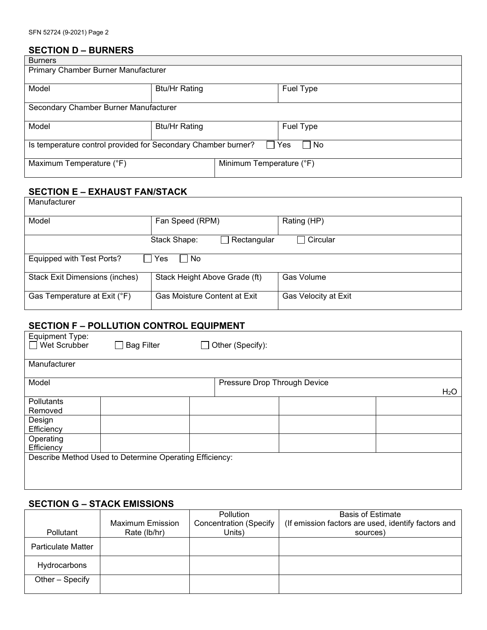## **SECTION D – BURNERS**

| <b>Burners</b>                                                               |                      |                          |           |  |
|------------------------------------------------------------------------------|----------------------|--------------------------|-----------|--|
| Primary Chamber Burner Manufacturer                                          |                      |                          |           |  |
|                                                                              |                      |                          |           |  |
| Model                                                                        | <b>Btu/Hr Rating</b> |                          | Fuel Type |  |
|                                                                              |                      |                          |           |  |
| Secondary Chamber Burner Manufacturer                                        |                      |                          |           |  |
|                                                                              |                      |                          |           |  |
| Model                                                                        | <b>Btu/Hr Rating</b> |                          | Fuel Type |  |
|                                                                              |                      |                          |           |  |
| Is temperature control provided for Secondary Chamber burner?<br>l No<br>Yes |                      |                          |           |  |
|                                                                              |                      |                          |           |  |
| Maximum Temperature (°F)                                                     |                      | Minimum Temperature (°F) |           |  |
|                                                                              |                      |                          |           |  |

## **SECTION E – EXHAUST FAN/STACK**

| Manufacturer                                                                         |                                     |                      |  |  |  |
|--------------------------------------------------------------------------------------|-------------------------------------|----------------------|--|--|--|
| Model                                                                                | Fan Speed (RPM)                     | Rating (HP)          |  |  |  |
| $\sqcap$ Circular<br>$\Box$ Rectangular<br>Stack Shape:                              |                                     |                      |  |  |  |
| Equipped with Test Ports?<br>□ No<br>Yes                                             |                                     |                      |  |  |  |
| Stack Height Above Grade (ft)<br>Gas Volume<br><b>Stack Exit Dimensions (inches)</b> |                                     |                      |  |  |  |
| Gas Temperature at Exit (°F)                                                         | <b>Gas Moisture Content at Exit</b> | Gas Velocity at Exit |  |  |  |

# **SECTION F – POLLUTION CONTROL EQUIPMENT**

| Equipment Type:<br>Wet Scrubber | <b>Bag Filter</b><br>$\blacksquare$                     | $\Box$ Other (Specify):      |                  |
|---------------------------------|---------------------------------------------------------|------------------------------|------------------|
| Manufacturer                    |                                                         |                              |                  |
| Model                           |                                                         | Pressure Drop Through Device | H <sub>2</sub> O |
| Pollutants<br>Removed           |                                                         |                              |                  |
| Design<br>Efficiency            |                                                         |                              |                  |
| Operating<br>Efficiency         |                                                         |                              |                  |
|                                 | Describe Method Used to Determine Operating Efficiency: |                              |                  |
|                                 |                                                         |                              |                  |

# **SECTION G – STACK EMISSIONS**

|                           |                         | <b>Pollution</b>              | <b>Basis of Estimate</b>                            |
|---------------------------|-------------------------|-------------------------------|-----------------------------------------------------|
|                           | <b>Maximum Emission</b> | <b>Concentration (Specify</b> | (If emission factors are used, identify factors and |
| Pollutant                 | Rate (lb/hr)            | Units)                        | sources)                                            |
| <b>Particulate Matter</b> |                         |                               |                                                     |
| Hydrocarbons              |                         |                               |                                                     |
| Other - Specify           |                         |                               |                                                     |